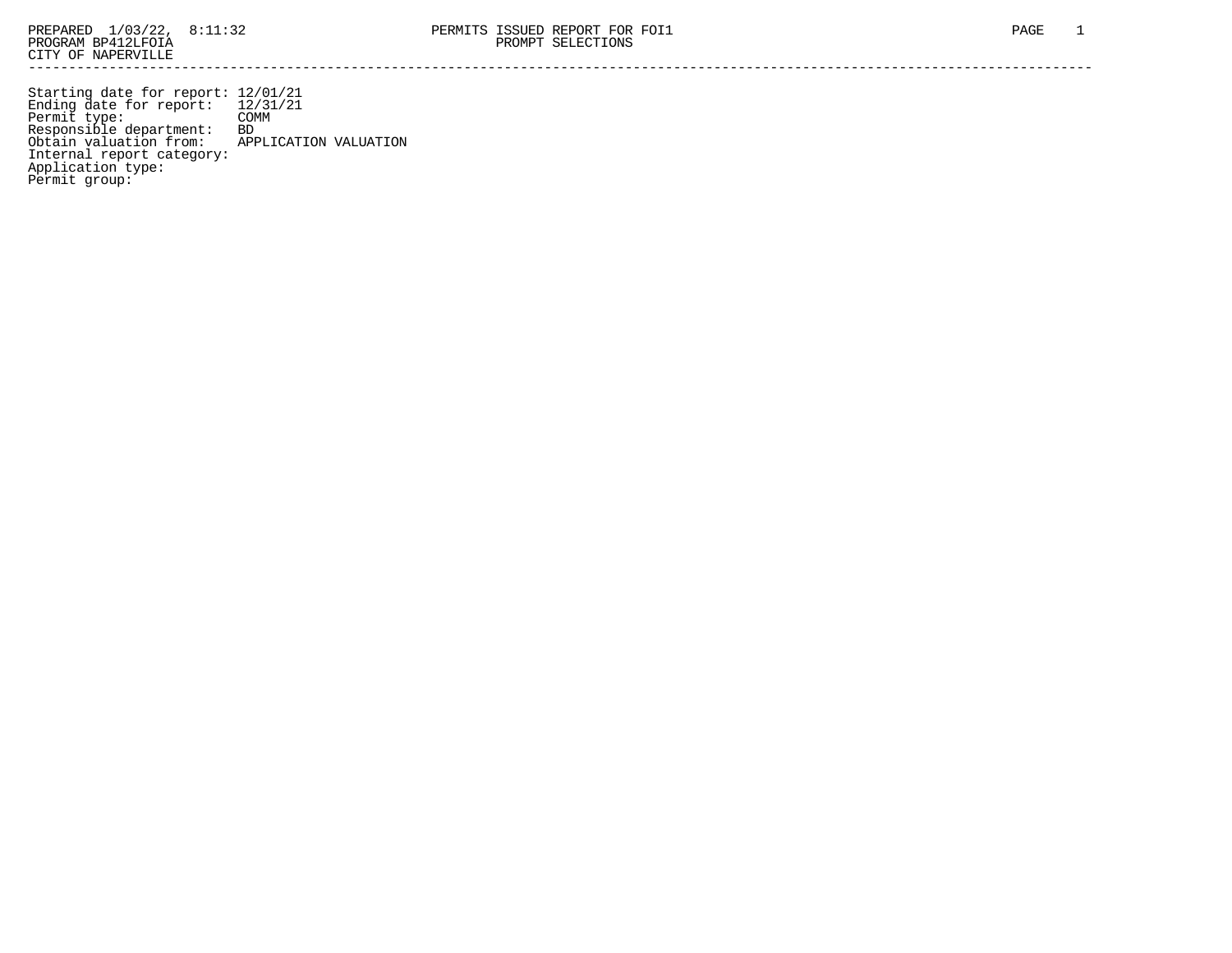Starting date for report: 12/01/21 Ending date for report: 12/31/21 Permit type: COMM Responsible department: BD Obtain valuation from: APPLICATION VALUATION Internal report category: Application type: Permit group: